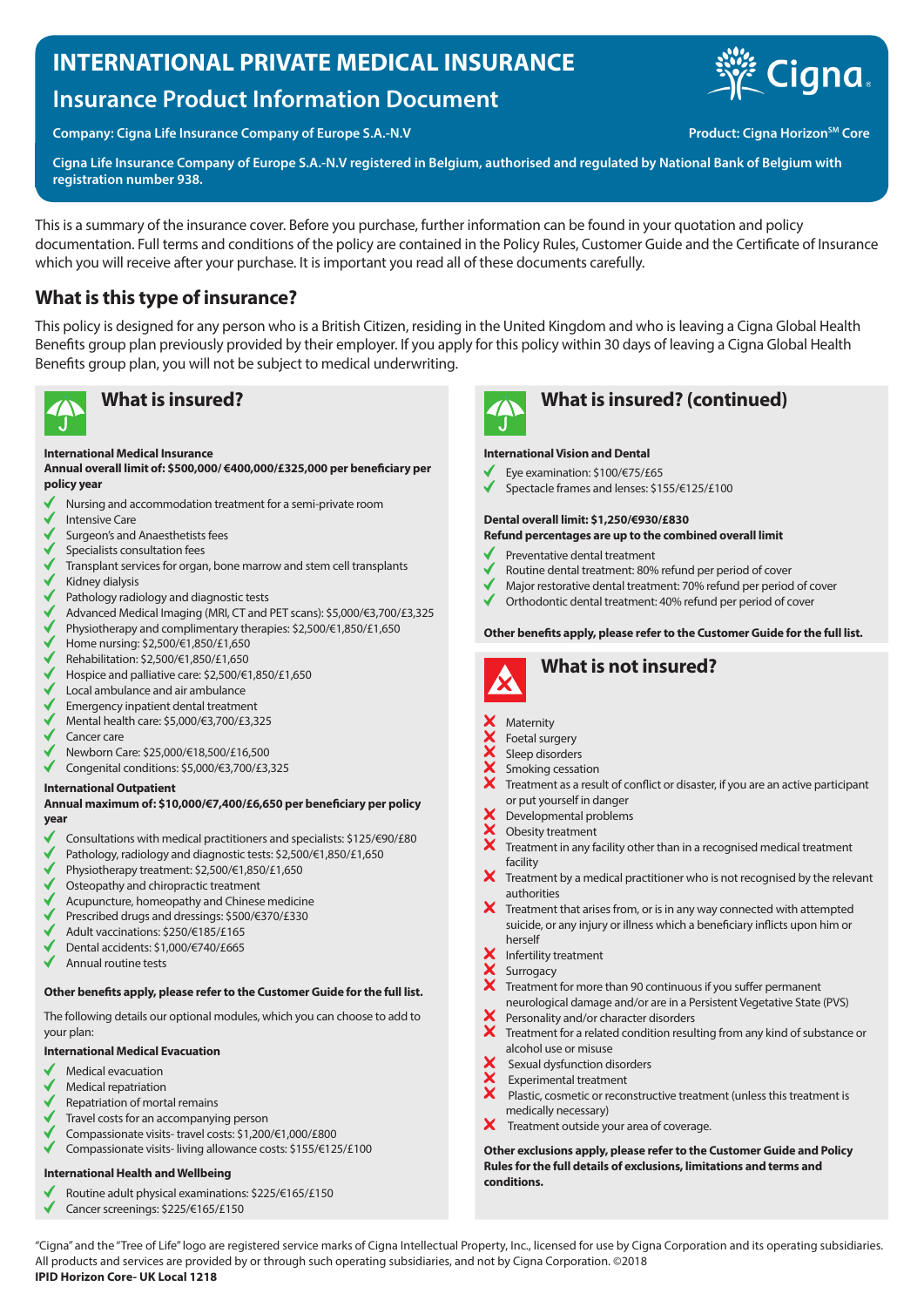# **INTERNATIONAL PRIVATE MEDICAL INSURANCE**

# **Insurance Product Information Document**

Company: Cigna Life Insurance Company of Europe S.A.-N.V **Product: Cigna Horizon<sup>SM</sup> Core** 

**Cigna Life Insurance Company of Europe S.A.-N.V registered in Belgium, authorised and regulated by National Bank of Belgium with registration number 938.**

This is a summary of the insurance cover. Before you purchase, further information can be found in your quotation and policy documentation. Full terms and conditions of the policy are contained in the Policy Rules, Customer Guide and the Certificate of Insurance which you will receive after your purchase. It is important you read all of these documents carefully.

# **What is this type of insurance?**

This policy is designed for any person who is a British Citizen, residing in the United Kingdom and who is leaving a Cigna Global Health Benefits group plan previously provided by their employer. If you apply for this policy within 30 days of leaving a Cigna Global Health Benefits group plan, you will not be subject to medical underwriting.



#### **International Medical Insurance**

**Annual overall limit of: \$500,000/ €400,000/£325,000 per beneficiary per policy year**

- Nursing and accommodation treatment for a semi-private room
- Intensive Care
- Surgeon's and Anaesthetists fees
- Specialists consultation fees
- Transplant services for organ, bone marrow and stem cell transplants
- Kidney dialysis
- Pathology radiology and diagnostic tests
- $\checkmark$ Advanced Medical Imaging (MRI, CT and PET scans): \$5,000/€3,700/£3,325
- Physiotherapy and complimentary therapies: \$2,500/€1,850/£1,650  $\checkmark$
- Home nursing: \$2,500/€1,850/£1,650
- Rehabilitation: \$2,500/€1,850/£1,650
- Hospice and palliative care: \$2,500/€1,850/£1,650
- Local ambulance and air ambulance
- Emergency inpatient dental treatment
- Mental health care: \$5,000/€3,700/£3,325
- Cancer care
- Newborn Care: \$25,000/€18,500/£16,500
- Congenital conditions: \$5,000/€3,700/£3,325

### **International Outpatient**

#### **Annual maximum of: \$10,000/€7,400/£6,650 per beneficiary per policy year**

- Consultations with medical practitioners and specialists: \$125/€90/£80
- Pathology, radiology and diagnostic tests: \$2,500/€1,850/£1,650
- Physiotherapy treatment: \$2,500/€1,850/£1,650
- Osteopathy and chiropractic treatment
- Acupuncture, homeopathy and Chinese medicine
- Prescribed drugs and dressings: \$500/€370/£330
- Adult vaccinations: \$250/€185/£165
- Dental accidents: \$1,000/€740/£665
- Annual routine tests

### **Other benefits apply, please refer to the Customer Guide for the full list.**

The following details our optional modules, which you can choose to add to your plan:

### **International Medical Evacuation**

- Medical evacuation
- Medical repatriation
- Repatriation of mortal remains
- Travel costs for an accompanying person
- Compassionate visits- travel costs: \$1,200/€1,000/£800
- $\checkmark$ Compassionate visits- living allowance costs: \$155/€125/£100

### **International Health and Wellbeing**

- Routine adult physical examinations: \$225/€165/£150
- Cancer screenings: \$225/€165/£150



# **What is insured? What is insured? (continued)**

#### **International Vision and Dental**

- Eye examination: \$100/€75/£65
- Spectacle frames and lenses: \$155/€125/£100

#### **Dental overall limit: \$1,250/€930/£830**

#### **Refund percentages are up to the combined overall limit**

- Preventative dental treatment
- Routine dental treatment: 80% refund per period of cover
- Major restorative dental treatment: 70% refund per period of cover
- $\checkmark$ Orthodontic dental treatment: 40% refund per period of cover

#### **Other benefits apply, please refer to the Customer Guide for the full list.**



# **What is not insured?**

#### **Maternity**

- Foetal surgery
- Sleep disorders
- **xxxxx** Smoking cessation
- Treatment as a result of conflict or disaster, if you are an active participant or put yourself in danger
- Developmental problems
- XXX Obesity treatment
- Treatment in any facility other than in a recognised medical treatment facility
- X Treatment by a medical practitioner who is not recognised by the relevant authorities
- $\boldsymbol{\times}$  Treatment that arises from, or is in any way connected with attempted suicide, or any injury or illness which a beneficiary inflicts upon him or herself
- Infertility treatment
- Surrogacy
- Treatment for more than 90 continuous if you suffer permanent neurological damage and/or are in a Persistent Vegetative State (PVS)
- Personality and/or character disorders  $\boldsymbol{\hat{x}}$
- Treatment for a related condition resulting from any kind of substance or alcohol use or misuse
- Sexual dysfunction disorders
- Experimental treatment
- $\overline{\mathbf{x}}$  Plastic, cosmetic or reconstructive treatment (unless this treatment is medically necessary)
- $\boldsymbol{X}$  Treatment outside your area of coverage.

**Other exclusions apply, please refer to the Customer Guide and Policy Rules for the full details of exclusions, limitations and terms and conditions.**

"Cigna" and the "Tree of Life" logo are registered service marks of Cigna Intellectual Property, Inc., licensed for use by Cigna Corporation and its operating subsidiaries. All products and services are provided by or through such operating subsidiaries, and not by Cigna Corporation. ©2018 **IPID Horizon Core- UK Local 1218**